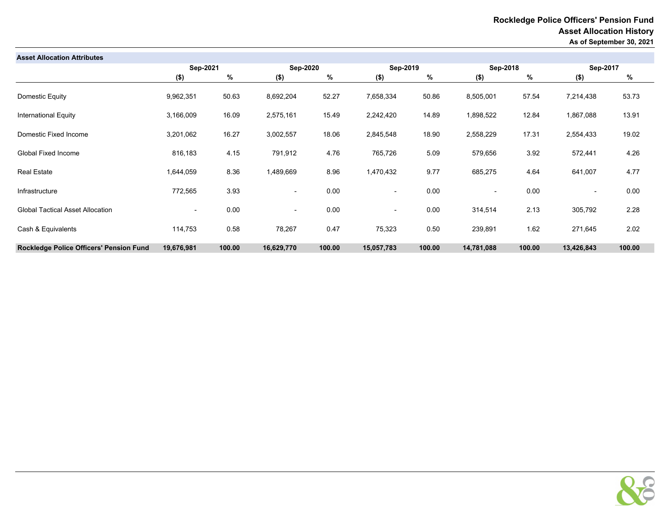| <b>Asset Allocation Attributes</b>      |                          |        |                          |        |                          |        |                          |        |                          |        |
|-----------------------------------------|--------------------------|--------|--------------------------|--------|--------------------------|--------|--------------------------|--------|--------------------------|--------|
|                                         | Sep-2021                 |        | <b>Sep-2020</b>          |        | Sep-2019                 |        | Sep-2018                 |        | Sep-2017                 |        |
|                                         | $($ \$)                  | %      | $($ \$)                  | %      | $($ \$)                  | %      | $($ \$)                  | %      | $($ \$)                  | %      |
| Domestic Equity                         | 9,962,351                | 50.63  | 8,692,204                | 52.27  | 7,658,334                | 50.86  | 8,505,001                | 57.54  | 7,214,438                | 53.73  |
| <b>International Equity</b>             | 3,166,009                | 16.09  | 2,575,161                | 15.49  | 2,242,420                | 14.89  | 1,898,522                | 12.84  | 1,867,088                | 13.91  |
| Domestic Fixed Income                   | 3,201,062                | 16.27  | 3,002,557                | 18.06  | 2,845,548                | 18.90  | 2,558,229                | 17.31  | 2,554,433                | 19.02  |
| Global Fixed Income                     | 816,183                  | 4.15   | 791,912                  | 4.76   | 765,726                  | 5.09   | 579,656                  | 3.92   | 572,441                  | 4.26   |
| <b>Real Estate</b>                      | 1,644,059                | 8.36   | 1,489,669                | 8.96   | 1,470,432                | 9.77   | 685,275                  | 4.64   | 641,007                  | 4.77   |
| Infrastructure                          | 772,565                  | 3.93   | $\overline{\phantom{a}}$ | 0.00   | $\overline{\phantom{a}}$ | 0.00   | $\overline{\phantom{a}}$ | 0.00   | $\overline{\phantom{a}}$ | 0.00   |
| <b>Global Tactical Asset Allocation</b> | $\overline{\phantom{a}}$ | 0.00   | $\overline{\phantom{0}}$ | 0.00   | $\overline{\phantom{a}}$ | 0.00   | 314,514                  | 2.13   | 305,792                  | 2.28   |
| Cash & Equivalents                      | 114,753                  | 0.58   | 78,267                   | 0.47   | 75,323                   | 0.50   | 239,891                  | 1.62   | 271,645                  | 2.02   |
| Rockledge Police Officers' Pension Fund | 19,676,981               | 100.00 | 16,629,770               | 100.00 | 15,057,783               | 100.00 | 14,781,088               | 100.00 | 13,426,843               | 100.00 |